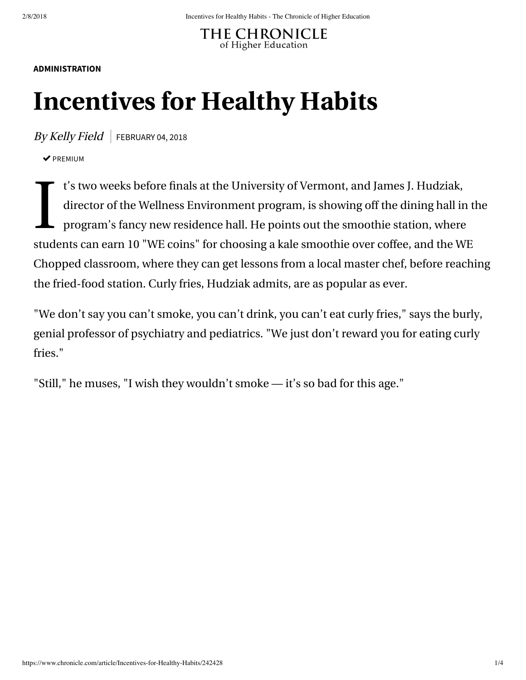**THE CHRONICLE** of Higher Education

## **[ADMINISTRATION](https://www.chronicle.com/section/Administration/16)**

## **Incentives for Healthy Habits**

 $By Kelly Field$  FEBRUARY 04, 2018

 $\triangledown$  PREMIUM

 $\prod_{i=1}^{n}$ t's two weeks before finals at the University of Vermont, and James J. Hudziak, director of the Wellness Environment program, is showing off the dining hall in the program's fancy new residence hall. He points out the smoothie station, where students can earn 10 "WE coins" for choosing a kale smoothie over coffee, and the WE Chopped classroom, where they can get lessons from a local master chef, before reaching the fried-food station. Curly fries, Hudziak admits, are as popular as ever.

"We don't say you can't smoke, you can't drink, you can't eat curly fries," says the burly, genial professor of psychiatry and pediatrics. "We just don't reward you for eating curly fries."

"Still," he muses, "I wish they wouldn't smoke — it's so bad for this age."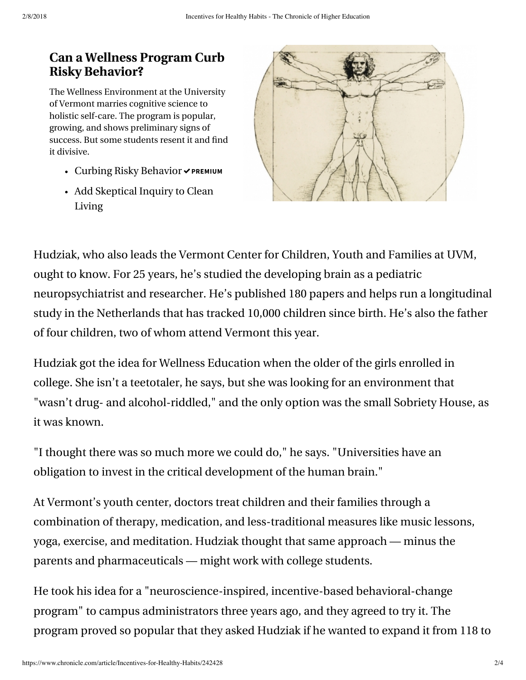## **[Can a Wellness Program Curb](https://www.chronicle.com/specialreport/Can-a-Wellness-Program-Curb/183?cid=RCPACKAGE) Risky Behavior?**

The Wellness Environment at the University of Vermont marries cognitive science to holistic self-care. The program is popular, growing, and shows preliminary signs of success. But some students resent it and find it divisive.

- [Curbing Risky Behavior](https://www.chronicle.com/article/Curbing-Risky-Behavior/242430?cid=RCPACKAGE) **PREMIUM**
- [Add Skeptical Inquiry to Clean](https://www.chronicle.com/article/Add-Skeptical-Inquiry-to/242429?cid=RCPACKAGE) Living



Hudziak, who also leads the Vermont Center for Children, Youth and Families at UVM, ought to know. For 25 years, he's studied the developing brain as a pediatric neuropsychiatrist and researcher. He's published 180 papers and helps run a longitudinal study in the Netherlands that has tracked 10,000 children since birth. He's also the father of four children, two of whom attend Vermont this year.

Hudziak got the idea for Wellness Education when the older of the girls enrolled in college. She isn't a teetotaler, he says, but she was looking for an environment that "wasn't drug- and alcohol-riddled," and the only option was the small Sobriety House, as it was known.

"I thought there was so much more we could do," he says. "Universities have an obligation to invest in the critical development of the human brain."

At Vermont's youth center, doctors treat children and their families through a combination of therapy, medication, and less-traditional measures like music lessons, yoga, exercise, and meditation. Hudziak thought that same approach — minus the parents and pharmaceuticals — might work with college students.

He took his idea for a "neuroscience-inspired, incentive-based behavioral-change program" to campus administrators three years ago, and they agreed to try it. The program proved so popular that they asked Hudziak if he wanted to expand it from 118 to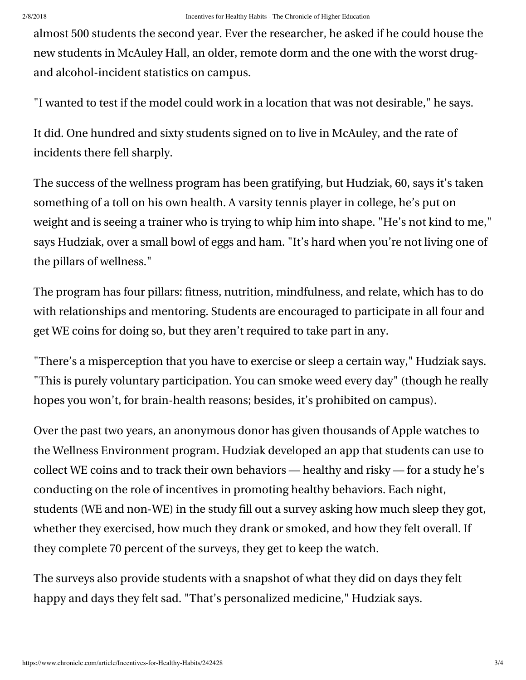almost 500 students the second year. Ever the researcher, he asked if he could house the new students in McAuley Hall, an older, remote dorm and the one with the worst drugand alcohol-incident statistics on campus.

"I wanted to test if the model could work in a location that was not desirable," he says.

It did. One hundred and sixty students signed on to live in McAuley, and the rate of incidents there fell sharply.

The success of the wellness program has been gratifying, but Hudziak, 60, says it's taken something of a toll on his own health. A varsity tennis player in college, he's put on weight and is seeing a trainer who is trying to whip him into shape. "He's not kind to me," says Hudziak, over a small bowl of eggs and ham. "It's hard when you're not living one of the pillars of wellness."

The program has [four pillars:](https://www.uvm.edu/we/pillars_wellness) fitness, nutrition, mindfulness, and relate, which has to do with relationships and mentoring. Students are encouraged to participate in all four and get WE coins for doing so, but they aren't required to take part in any.

"There's a misperception that you have to exercise or sleep a certain way," Hudziak says. "This is purely voluntary participation. You can smoke weed every day" (though he really hopes you won't, for brain-health reasons; besides, it's prohibited on campus).

Over the past two years, an anonymous donor has given thousands of Apple watches to the Wellness Environment program. Hudziak developed an [app that students can use](https://www.uvm.edu/we/we-app) to collect WE coins and to track their own behaviors — healthy and risky — for a study he's conducting on the role of incentives in promoting healthy behaviors. Each night, students (WE and non-WE) in the study fill out a survey asking how much sleep they got, whether they exercised, how much they drank or smoked, and how they felt overall. If they complete 70 percent of the surveys, they get to keep the watch.

The surveys also provide students with a snapshot of what they did on days they felt happy and days they felt sad. "That's personalized medicine," Hudziak says.